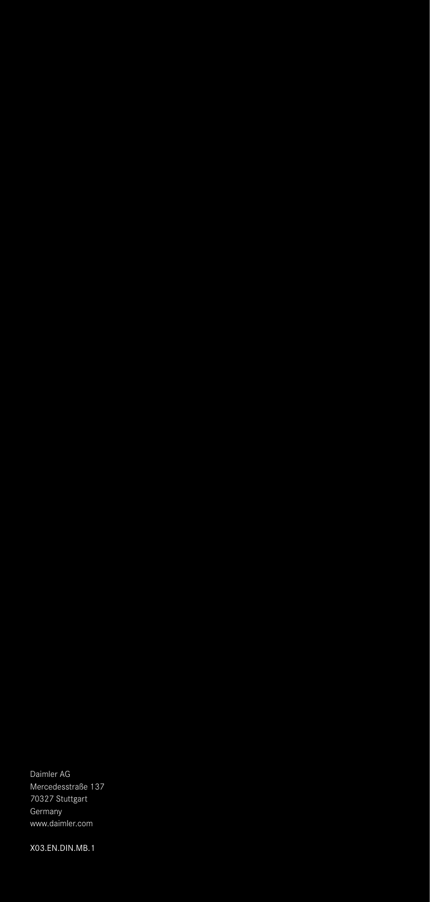Daimler AG Mercedesstraße 137 70327 Stuttgart Germany www.daimler.com

X03.EN.DIN.MB.1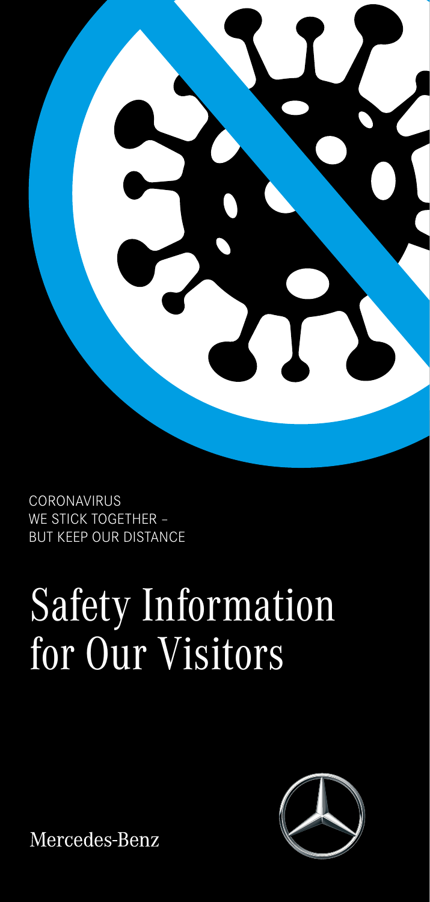

**CORONAVIRUS** WE STICK TOGETHER – BUT KEEP OUR DISTANCE

# Safety Information for Our Visitors



Mercedes-Benz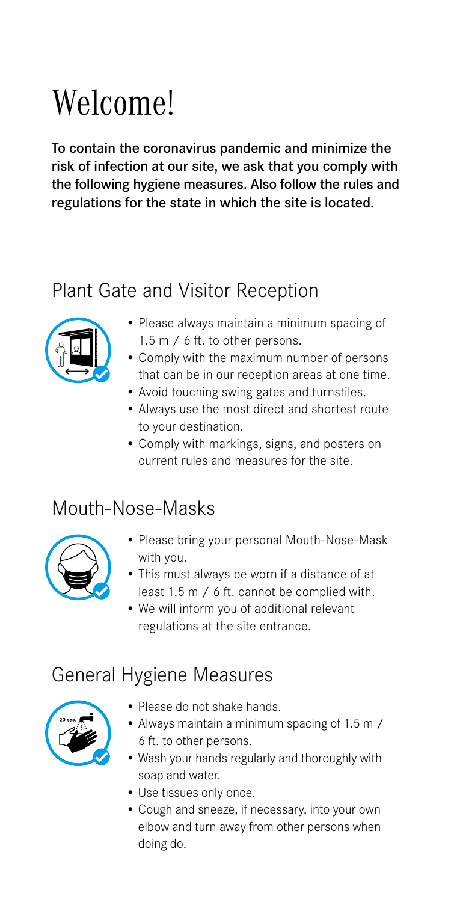## Welcome!

To contain the coronavirus pandemic and minimize the risk of infection at our site, we ask that you comply with the following hygiene measures. Also follow the rules and regulations for the state in which the site is located.

#### Plant Gate and Visitor Reception



- Please always maintain a minimum spacing of 1.5 m / 6 ft. to other persons.
- Comply with the maximum number of persons that can be in our reception areas at one time.
- Avoid touching swing gates and turnstiles.
- Always use the most direct and shortest route to your destination.
- Comply with markings, signs, and posters on current rules and measures for the site.

#### Mouth-Nose-Masks



- Please bring your personal Mouth-Nose-Mask with you.
- This must always be worn if a distance of at least 1.5 m / 6 ft. cannot be complied with.
- We will inform you of additional relevant regulations at the site entrance.

#### General Hygiene Measures



- Please do not shake hands.
- Always maintain a minimum spacing of 1.5 m / 6 ft. to other persons.
- Wash your hands regularly and thoroughly with soap and water.
- Use tissues only once.
- Cough and sneeze, if necessary, into your own elbow and turn away from other persons when doing do.